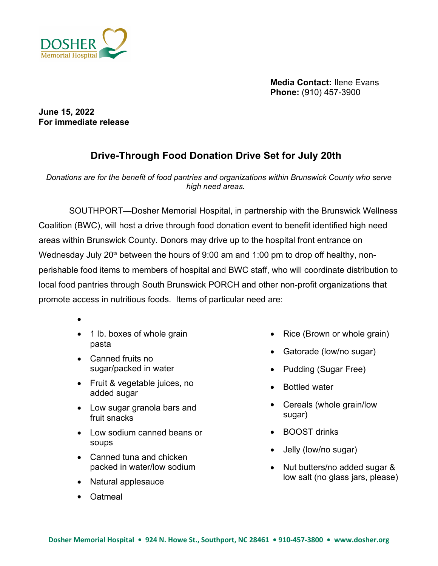

**Media Contact:** Ilene Evans **Phone:** (910) 457-3900

**June 15, 2022 For immediate release**

## **Drive-Through Food Donation Drive Set for July 20th**

*Donations are for the benefit of food pantries and organizations within Brunswick County who serve high need areas.* 

 SOUTHPORT—Dosher Memorial Hospital, in partnership with the Brunswick Wellness Coalition (BWC), will host a drive through food donation event to benefit identified high need areas within Brunswick County. Donors may drive up to the hospital front entrance on Wednesday July 20<sup>th</sup> between the hours of 9:00 am and 1:00 pm to drop off healthy, nonperishable food items to members of hospital and BWC staff, who will coordinate distribution to local food pantries through South Brunswick PORCH and other non-profit organizations that promote access in nutritious foods. Items of particular need are:

- $\bullet$  and  $\bullet$  and  $\bullet$  and  $\bullet$
- 1 lb. boxes of whole grain pasta
- Canned fruits no sugar/packed in water
- Fruit & vegetable juices, no added sugar
- Low sugar granola bars and fruit snacks
- Low sodium canned beans or soups
- Canned tuna and chicken packed in water/low sodium
- Natural applesauce
- Oatmeal
- Rice (Brown or whole grain)
- Gatorade (low/no sugar)
- Pudding (Sugar Free)
- Bottled water
- Cereals (whole grain/low sugar)
- BOOST drinks
- Jelly (low/no sugar)
- Nut butters/no added sugar & low salt (no glass jars, please)